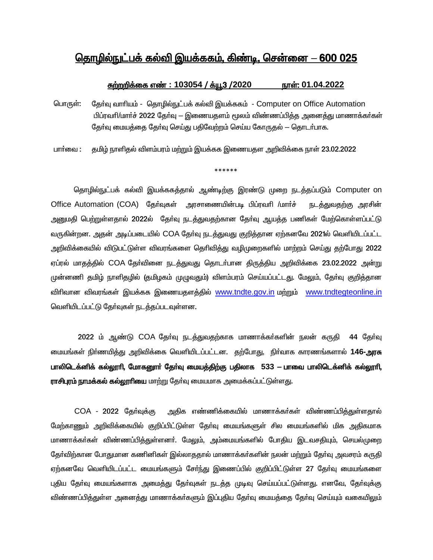## தொழில்நுட்பக் கல்வி இயக்ககம், கிண்டி, சென்னை — 600 025

#### <u> சுற்றறிக்கை எண் : 103054 / க்யூ3 /2020 நாள்: 01.04.2022</u>

- தேர்வு வாரியம் தொழில்நுட்பக் கல்வி இயக்ககம் Computer on Office Automation பொருள்: பிப்ரவாி/மாா்ச் 2022 தோ்வு — இணையதளம் மூலம் விண்ணப்பித்த அனைத்து மாணாக்கா்கள் தோ்வு மையத்தை தோ்வு செய்து பதிவேற்றம் செய்ய கோருதல் — தொடா்பாக.
- தமிழ் நாளிதல் விளம்பரம் மற்றும் இயக்கக இணையதள அறிவிக்கை நாள் 23.02.2022 பார்வை :

\*\*\*\*\*\*

தொழில்நுட்பக் கல்வி இயக்ககத்தால் ஆண்டிற்கு இரண்டு முறை நடத்தப்படும் Computer on Office Automation (COA) தேர்வுகள் அரசாணையின்படி பிப்ரவரி /மார்ச் நடத்துவதற்கு அரசின் அனுமதி பெற்றுள்ளதால் 2022ல் தோ்வு நடத்துவதற்கான தோ்வு ஆயத்த பணிகள் மேற்கொள்ளப்பட்டு வருகின்றன. அதன் அடிப்படையில் COA தேர்வு நடத்துவது குறித்தான ஏற்கனவே 2021ல் வெளியிடப்பட்ட அறிவிக்கையில் விடுபட்டுள்ள விவரங்களை தெரிவித்து வழிமுறைகளில் மாற்றம் செய்து தற்போது 2022 ஏப்ரல் மாதத்தில் COA தேர்வினை நடத்துவது தொடர்பான திருத்திய அறிவிக்கை 23.02.2022 அன்று முன்னணி தமிழ் நாளிதழில் (தமிழகம் முழுவதும்) விளம்பரம் செய்யப்பட்டது. மேலும், தேர்வு குறித்தான விரிவான விவரங்கள் இயக்கக இணையதளக்கில் www.tndte.gov.in மற்றும் www.tndtegteonline.in வெளியிடப்பட்டு தேர்வுகள் நடத்தப்படவுள்ளன.

2022 ம் ஆண்டு COA தேர்வு நடத்துவதற்காக மாணாக்கர்களின் நலன் கருதி 44 தேர்வு மையங்கள் நிர்ணயித்து அறிவிக்கை வெளியிடப்பட்டன. தற்போது, நிர்வாக காரணங்களால் 146-அரசு பாலிடெக்னிக் கல்லூரி, மோகனூர் தேர்வு மையத்திற்கு பதிலாக 533 — பாவை பாலிடெக்னிக் கல்லூரி, **ராசிபுரம் நாமக்கல் கல்லூாியை** மாற்று தேர்வு மையமாக அமைக்கப்பட்டுள்ளது.

COA - 2022 தேர்வுக்கு அதிக எண்ணிக்கையில் மாணாக்கா்கள் விண்ணப்பித்துள்ளதால் மேற்காணும் அறிவிக்கையில் குறிப்பிட்டுள்ள தோ்வு மையங்களுள் சில மையங்களில் மிக அதிகமாக மாணாக்கா்கள் விண்ணப்பித்துள்ளனா். மேலும், அம்மையங்களில் போகிய இடவசதியும், செயல்முறை தேர்விற்கான போதுமான கணினிகள் இல்லாததால் மாணாக்கர்களின் நலன் மற்றும் தேர்வு அவசரம் கருதி ஏற்கனவே வெளியிடப்பட்ட மையங்களும் சோ்ந்து இணைப்பில் குறிப்பிட்டுள்ள 27 தோ்வு மையங்களை புதிய தேர்வு மையங்களாக அமைத்து தேர்வுகள் நடத்த முடிவு செய்யப்பட்டுள்ளது. எனவே, தேர்வுக்கு விண்ணப்பித்துள்ள அனைத்து மாணாக்கா்களும் இப்புதிய தோ்வு மையத்தை தோ்வு செய்யும் வகையிலும்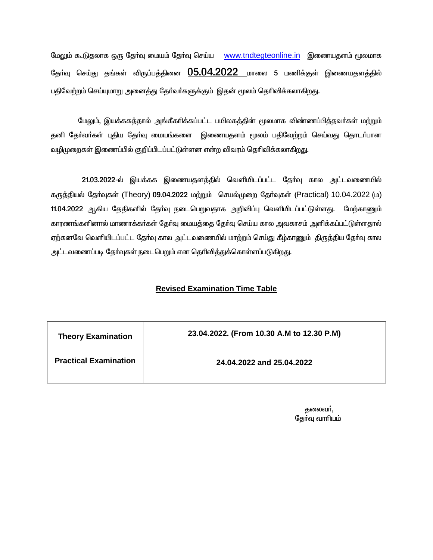மேலும் கூடுதலாக ஒரு தேர்வு மையம் தேர்வு செய்ய www.tndtegteonline.in இணையதளம் மூலமாக தேர்வு செய்து தங்கள் விருப்பத்தினை 05.04.2022 மாலை 5 மணிக்குள் இணையதளத்தில் பதிவேற்றம் செய்யுமாறு அனைத்து தேர்வர்களுக்கும் இதன் மூலம் தெரிவிக்கலாகிறது.

மேலும், இயக்ககத்தால் அங்கீகரிக்கப்பட்ட பயிலகத்தின் மூலமாக விண்ணப்பித்தவர்கள் மற்றும் தனி தோ்வா்கள் புதிய தோ்வு மையங்களை இணையதளம் மூலம் பதிவேற்றம் செய்வது தொடா்பான வழிமுறைகள் இணைப்பில் குறிப்பிடப்பட்டுள்ளன என்ற விவரம் தெரிவிக்கலாகிறது.

21.03.2022-ல் இயக்கக இணையதளத்தில் வெளியிடப்பட்ட தேர்வு கால அட்டவணையில் கருத்தியல் தேர்வுகள் (Theory) 09.04.2022 மற்றும் செயல்முறை தேர்வுகள் (Practical) 10.04.2022 (ம) 11.04.2022 ஆகிய தேதிகளில் தோ்வு நடைபெறுவதாக அறிவிப்பு வெளியிடப்பட்டுள்ளது. மேற்காணும் காரணங்களினால் மாணாக்கா்கள் தோ்வு மையத்தை தோ்வு செய்ய கால அவகாசம் அளிக்கப்பட்டுள்ளதால் ஏற்கனவே வெளியிடப்பட்ட தேர்வு கால அட்டவணையில் மாற்றம் செய்து கீழ்காணும் திருத்திய தேர்வு கால அட்டவணைப்படி தேர்வுகள் நடைபெறும் என தெரிவித்துக்கொள்ளப்படுகிறது.

#### **Revised Examination Time Table**

| <b>Theory Examination</b>    | 23.04.2022. (From 10.30 A.M to 12.30 P.M) |
|------------------------------|-------------------------------------------|
| <b>Practical Examination</b> | 24.04.2022 and 25.04.2022                 |

தலைவா், தேர்வு வாரியம்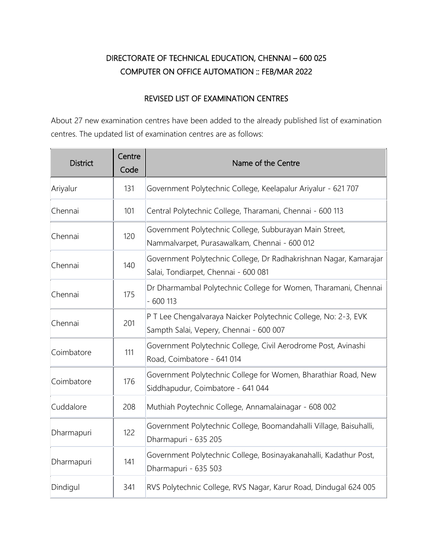# DIRECTORATE OF TECHNICAL EDUCATION, CHENNAI – 600 025 COMPUTER ON OFFICE AUTOMATION :: FEB/MAR 2022

### REVISED LIST OF EXAMINATION CENTRES

About 27 new examination centres have been added to the already published list of examination centres. The updated list of examination centres are as follows:

| <b>District</b> | Centre<br>Code | Name of the Centre                                                                                         |
|-----------------|----------------|------------------------------------------------------------------------------------------------------------|
| Ariyalur        | 131            | Government Polytechnic College, Keelapalur Ariyalur - 621 707                                              |
| Chennai         | 101            | Central Polytechnic College, Tharamani, Chennai - 600 113                                                  |
| Chennai         | 120            | Government Polytechnic College, Subburayan Main Street,<br>Nammalvarpet, Purasawalkam, Chennai - 600 012   |
| Chennai         | 140            | Government Polytechnic College, Dr Radhakrishnan Nagar, Kamarajar<br>Salai, Tondiarpet, Chennai - 600 081  |
| Chennai         | 175            | Dr Dharmambal Polytechnic College for Women, Tharamani, Chennai<br>$-600113$                               |
| Chennai         | 201            | P T Lee Chengalvaraya Naicker Polytechnic College, No: 2-3, EVK<br>Sampth Salai, Vepery, Chennai - 600 007 |
| Coimbatore      | 111            | Government Polytechnic College, Civil Aerodrome Post, Avinashi<br>Road, Coimbatore - 641 014               |
| Coimbatore      | 176            | Government Polytechnic College for Women, Bharathiar Road, New<br>Siddhapudur, Coimbatore - 641 044        |
| Cuddalore       | 208            | Muthiah Poytechnic College, Annamalainagar - 608 002                                                       |
| Dharmapuri      | 122            | Government Polytechnic College, Boomandahalli Village, Baisuhalli,<br>Dharmapuri - 635 205                 |
| Dharmapuri      | 141            | Government Polytechnic College, Bosinayakanahalli, Kadathur Post,<br>Dharmapuri - 635 503                  |
| Dindigul        | 341            | RVS Polytechnic College, RVS Nagar, Karur Road, Dindugal 624 005                                           |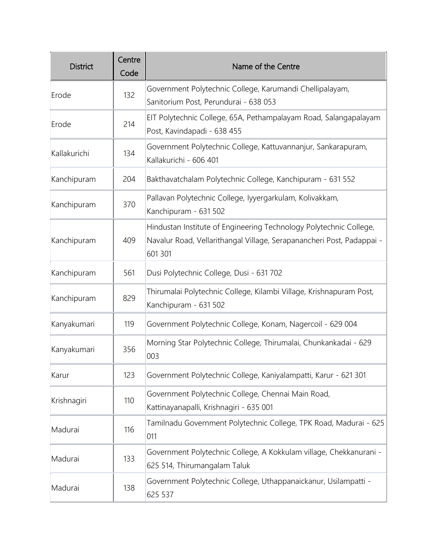| <b>District</b> | Centre<br>Code | Name of the Centre                                                                                                                                     |
|-----------------|----------------|--------------------------------------------------------------------------------------------------------------------------------------------------------|
| Erode           | 132            | Government Polytechnic College, Karumandi Chellipalayam,<br>Sanitorium Post, Perundurai - 638 053                                                      |
| Erode           | 214            | EIT Polytechnic College, 65A, Pethampalayam Road, Salangapalayam<br>Post, Kavindapadi - 638 455                                                        |
| Kallakurichi    | 134            | Government Polytechnic College, Kattuvannanjur, Sankarapuram,<br>Kallakurichi - 606 401                                                                |
| Kanchipuram     | 204            | Bakthavatchalam Polytechnic College, Kanchipuram - 631 552                                                                                             |
| Kanchipuram     | 370            | Pallavan Polytechnic College, Iyyergarkulam, Kolivakkam,<br>Kanchipuram - 631 502                                                                      |
| Kanchipuram     | 409            | Hindustan Institute of Engineering Technology Polytechnic College,<br>Navalur Road, Vellarithangal Village, Serapanancheri Post, Padappai -<br>601 301 |
| Kanchipuram     | 561            | Dusi Polytechnic College, Dusi - 631 702                                                                                                               |
| Kanchipuram     | 829            | Thirumalai Polytechnic College, Kilambi Village, Krishnapuram Post,<br>Kanchipuram - 631 502                                                           |
| Kanyakumari     | 119            | Government Polytechnic College, Konam, Nagercoil - 629 004                                                                                             |
| Kanyakumari     | 356            | Morning Star Polytechnic College, Thirumalai, Chunkankadai - 629<br>003                                                                                |
| Karur           | 123            | Government Polytechnic College, Kaniyalampatti, Karur - 621 301                                                                                        |
| Krishnagiri     | 110            | Government Polytechnic College, Chennai Main Road,<br>Kattinayanapalli, Krishnagiri - 635 001                                                          |
| Madurai         | 116            | Tamilnadu Government Polytechnic College, TPK Road, Madurai - 625<br>011                                                                               |
| Madurai         | 133            | Government Polytechnic College, A Kokkulam village, Chekkanurani -<br>625 514, Thirumangalam Taluk                                                     |
| Madurai         | 138            | Government Polytechnic College, Uthappanaickanur, Usilampatti -<br>625 537                                                                             |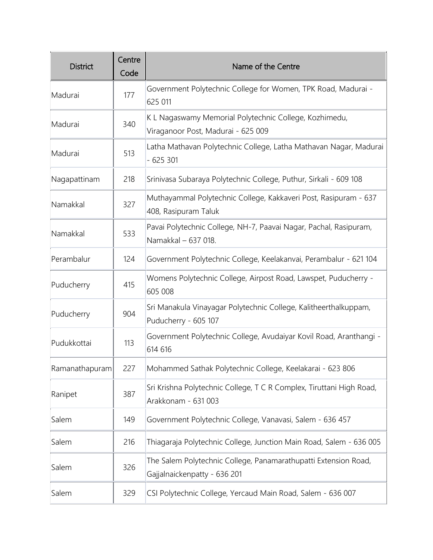| <b>District</b> | Centre<br>Code | Name of the Centre                                                                              |
|-----------------|----------------|-------------------------------------------------------------------------------------------------|
| Madurai         | 177            | Government Polytechnic College for Women, TPK Road, Madurai -<br>625 011                        |
| Madurai         | 340            | K L Nagaswamy Memorial Polytechnic College, Kozhimedu,<br>Viraganoor Post, Madurai - 625 009    |
| Madurai         | 513            | Latha Mathavan Polytechnic College, Latha Mathavan Nagar, Madurai<br>$-625301$                  |
| Nagapattinam    | 218            | Srinivasa Subaraya Polytechnic College, Puthur, Sirkali - 609 108                               |
| Namakkal        | 327            | Muthayammal Polytechnic College, Kakkaveri Post, Rasipuram - 637<br>408, Rasipuram Taluk        |
| Namakkal        | 533            | Pavai Polytechnic College, NH-7, Paavai Nagar, Pachal, Rasipuram,<br>Namakkal - 637 018.        |
| Perambalur      | 124            | Government Polytechnic College, Keelakanvai, Perambalur - 621 104                               |
| Puducherry      | 415            | Womens Polytechnic College, Airpost Road, Lawspet, Puducherry -<br>605 008                      |
| Puducherry      | 904            | Sri Manakula Vinayagar Polytechnic College, Kalitheerthalkuppam,<br>Puducherry - 605 107        |
| Pudukkottai     | 113            | Government Polytechnic College, Avudaiyar Kovil Road, Aranthangi -<br>614 616                   |
| Ramanathapuram  | 227            | Mohammed Sathak Polytechnic College, Keelakarai - 623 806                                       |
| Ranipet         | 387            | Sri Krishna Polytechnic College, T C R Complex, Tiruttani High Road,<br>Arakkonam - 631 003     |
| Salem           | 149            | Government Polytechnic College, Vanavasi, Salem - 636 457                                       |
| Salem           | 216            | Thiagaraja Polytechnic College, Junction Main Road, Salem - 636 005                             |
| Salem           | 326            | The Salem Polytechnic College, Panamarathupatti Extension Road,<br>Gajjalnaickenpatty - 636 201 |
| Salem           | 329            | CSI Polytechnic College, Yercaud Main Road, Salem - 636 007                                     |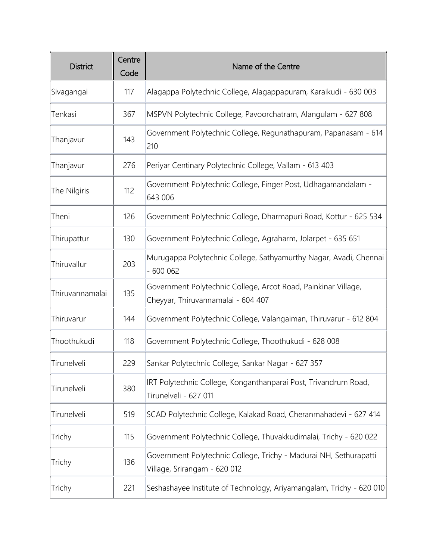| <b>District</b> | Centre<br>Code | Name of the Centre                                                                                   |
|-----------------|----------------|------------------------------------------------------------------------------------------------------|
| Sivagangai      | 117            | Alagappa Polytechnic College, Alagappapuram, Karaikudi - 630 003                                     |
| Tenkasi         | 367            | MSPVN Polytechnic College, Pavoorchatram, Alangulam - 627 808                                        |
| Thanjavur       | 143            | Government Polytechnic College, Regunathapuram, Papanasam - 614<br>210                               |
| Thanjavur       | 276            | Periyar Centinary Polytechnic College, Vallam - 613 403                                              |
| The Nilgiris    | 112            | Government Polytechnic College, Finger Post, Udhagamandalam -<br>643 006                             |
| Theni           | 126            | Government Polytechnic College, Dharmapuri Road, Kottur - 625 534                                    |
| Thirupattur     | 130            | Government Polytechnic College, Agraharm, Jolarpet - 635 651                                         |
| Thiruvallur     | 203            | Murugappa Polytechnic College, Sathyamurthy Nagar, Avadi, Chennai<br>$-600062$                       |
| Thiruvannamalai | 135            | Government Polytechnic College, Arcot Road, Painkinar Village,<br>Cheyyar, Thiruvannamalai - 604 407 |
| Thiruvarur      | 144            | Government Polytechnic College, Valangaiman, Thiruvarur - 612 804                                    |
| Thoothukudi     | 118            | Government Polytechnic College, Thoothukudi - 628 008                                                |
| Tirunelveli     | 229            | Sankar Polytechnic College, Sankar Nagar - 627 357                                                   |
| Tirunelveli     | 380            | IRT Polytechnic College, Konganthanparai Post, Trivandrum Road,<br>Tirunelveli - 627 011             |
| Tirunelveli     | 519            | SCAD Polytechnic College, Kalakad Road, Cheranmahadevi - 627 414                                     |
| Trichy          | 115            | Government Polytechnic College, Thuvakkudimalai, Trichy - 620 022                                    |
| Trichy          | 136            | Government Polytechnic College, Trichy - Madurai NH, Sethurapatti<br>Village, Srirangam - 620 012    |
| Trichy          | 221            | Seshashayee Institute of Technology, Ariyamangalam, Trichy - 620 010                                 |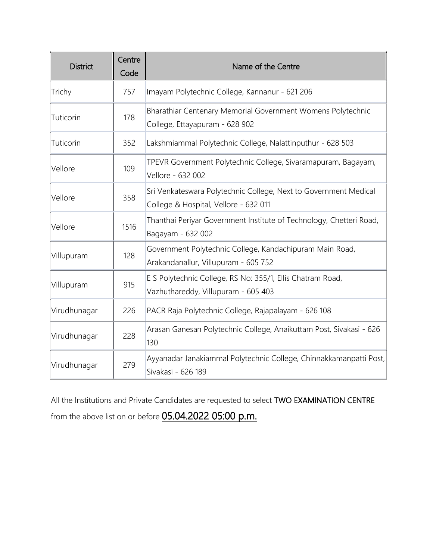| <b>District</b> | Centre<br>Code | Name of the Centre                                                                                        |
|-----------------|----------------|-----------------------------------------------------------------------------------------------------------|
| Trichy          | 757            | Imayam Polytechnic College, Kannanur - 621 206                                                            |
| Tuticorin       | 178            | Bharathiar Centenary Memorial Government Womens Polytechnic<br>College, Ettayapuram - 628 902             |
| Tuticorin       | 352            | Lakshmiammal Polytechnic College, Nalattinputhur - 628 503                                                |
| Vellore         | 109            | TPEVR Government Polytechnic College, Sivaramapuram, Bagayam,<br>Vellore - 632 002                        |
| Vellore         | 358            | Sri Venkateswara Polytechnic College, Next to Government Medical<br>College & Hospital, Vellore - 632 011 |
| Vellore         | 1516           | Thanthai Periyar Government Institute of Technology, Chetteri Road,<br>Bagayam - 632 002                  |
| Villupuram      | 128            | Government Polytechnic College, Kandachipuram Main Road,<br>Arakandanallur, Villupuram - 605 752          |
| Villupuram      | 915            | E S Polytechnic College, RS No: 355/1, Ellis Chatram Road,<br>Vazhuthareddy, Villupuram - 605 403         |
| Virudhunagar    | 226            | PACR Raja Polytechnic College, Rajapalayam - 626 108                                                      |
| Virudhunagar    | 228            | Arasan Ganesan Polytechnic College, Anaikuttam Post, Sivakasi - 626<br>130                                |
| Virudhunagar    | 279            | Ayyanadar Janakiammal Polytechnic College, Chinnakkamanpatti Post,<br>Sivakasi - 626 189                  |

All the Institutions and Private Candidates are requested to select **TWO EXAMINATION CENTRE** from the above list on or before 05.04.2022 05:00 p.m.